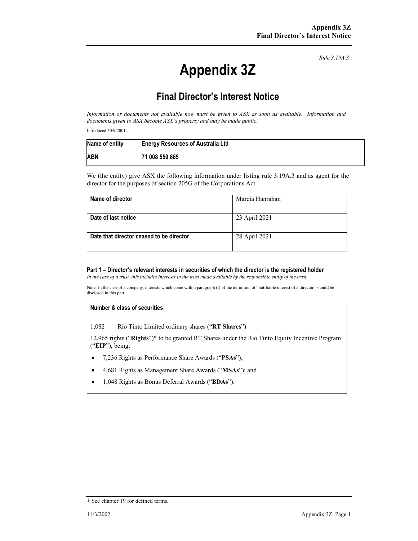*Rule 3.19A.3*

# **Appendix 3Z**

# **Final Director's Interest Notice**

*Information or documents not available now must be given to ASX as soon as available. Information and documents given to ASX become ASX's property and may be made public.* 

Introduced 30/9/2001.

| Name of entity | <b>Energy Resources of Australia Ltd</b> |
|----------------|------------------------------------------|
| ABN            | 71 008 550 865                           |

We (the entity) give ASX the following information under listing rule 3.19A.3 and as agent for the director for the purposes of section 205G of the Corporations Act.

| Name of director                         | Marcia Hanrahan |
|------------------------------------------|-----------------|
| Date of last notice                      | 23 April 2021   |
| Date that director ceased to be director | 28 April 2021   |

#### **Part 1 – Director's relevant interests in securities of which the director is the registered holder**

*In the case of a trust, this includes interests in the trust made available by the responsible entity of the trust*

Note: In the case of a company, interests which come within paragraph (i) of the definition of "notifiable interest of a director" should be disclosed in this part.

#### **Number & class of securities**

1,082 Rio Tinto Limited ordinary shares ("**RT Shares**")

12,965 rights ("**Rights**")\* to be granted RT Shares under the Rio Tinto Equity Incentive Program ("**EIP**"), being:

- 7,236 Rights as Performance Share Awards ("**PSAs**");
- 4,681 Rights as Management Share Awards ("**MSAs**"); and
- 1,048 Rights as Bonus Deferral Awards ("**BDAs**").

<sup>+</sup> See chapter 19 for defined terms.